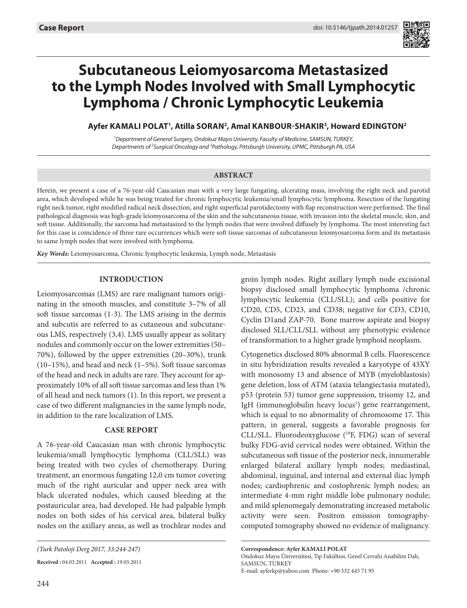

# **Subcutaneous Leiomyosarcoma Metastasized to the Lymph Nodes Involved with Small Lymphocytic Lymphoma / Chronic Lymphocytic Leukemia**

# Ayfer KAMALI POLAT<sup>1</sup>, Atilla SORAN<sup>2</sup>, Amal KANBOUR-SHAKIR<sup>3</sup>, Howard EDINGTON<sup>2</sup>

*1 Department of General Surgery, Ondokuz Mayıs University, Faculty of Medicine, SAMSUN, TURKEY, Departments of <sup>2</sup> Surgical Oncology and 3 Pathology, Pittsburgh University, UPMC, Pittsburgh PA, USA*

#### **ABSTRACT**

Herein, we present a case of a 76-year-old Caucasian man with a very large fungating, ulcerating mass, involving the right neck and parotid area, which developed while he was being treated for chronic lymphocytic leukemia/small lymphocytic lymphoma. Resection of the fungating right neck tumor, right modified radical neck dissection, and right superficial parotidectomy with flap reconstruction were performed. The final pathological diagnosis was high-grade leiomyosarcoma of the skin and the subcutaneous tissue, with invasion into the skeletal muscle, skin, and soft tissue. Additionally, the sarcoma had metastasized to the lymph nodes that were involved diffusely by lymphoma. The most interesting fact for this case is coincidence of three rare occurrences which were soft tissue sarcomas of subcutaneous leiomyosarcoma form and its metastasis to same lymph nodes that were involved with lymphoma.

*Key Words:* Leiomyosarcoma, Chronic lymphocytic leukemia, Lymph node, Metastasis

#### **Introduction**

Leiomyosarcomas (LMS) are rare malignant tumors originating in the smooth muscles, and constitute 3–7% of all soft tissue sarcomas (1-3). The LMS arising in the dermis and subcutis are referred to as cutaneous and subcutaneous LMS, respectively (3,4). LMS usually appear as solitary nodules and commonly occur on the lower extremities (50– 70%), followed by the upper extremities (20–30%), trunk (10–15%), and head and neck (1–5%). Soft tissue sarcomas of the head and neck in adults are rare. They account for approximately 10% of all soft tissue sarcomas and less than 1% of all head and neck tumors (1). In this report, we present a case of two different malignancies in the same lymph node, in addition to the rare localization of LMS.

## **Case Report**

A 76-year-old Caucasian man with chronic lymphocytic leukemia/small lymphocytic lymphoma (CLL/SLL) was being treated with two cycles of chemotherapy. During treatment, an enormous fungating 12,0 cm tumor covering much of the right auricular and upper neck area with black ulcerated nodules, which caused bleeding at the postauricular area, had developed. He had palpable lymph nodes on both sides of his cervical area, bilateral bulky nodes on the axillary areas, as well as trochlear nodes and

**Received :** 04.03.2011 **Accepted :** 19.05.2011

groin lymph nodes. Right axillary lymph node excisional biopsy disclosed small lymphocytic lymphoma /chronic lymphocytic leukemia (CLL/SLL); and cells positive for CD20, CD5, CD23, and CD38; negative for CD3, CD10, Cyclin D1and ZAP-70. Bone marrow aspirate and biopsy disclosed SLL/CLL/SLL without any phenotypic evidence of transformation to a higher grade lymphoid neoplasm.

Cytogenetics disclosed 80% abnormal B cells. Fluorescence in situ hybridization results revealed a karyotype of 43XY with monosomy 13 and absence of MYB (myeloblastosis) gene deletion, loss of ATM (ataxia telangiectasia mutated), p53 (protein 53) tumor gene suppression, trisomy 12, and IgH (immunoglobulin heavy locus<sup>1</sup>) gene rearrangement, which is equal to no abnormality of chromosome 17. This pattern, in general, suggests a favorable prognosis for CLL/SLL. Fluorodeoxyglucose (18F, FDG) scan of several bulky FDG-avid cervical nodes were obtained. Within the subcutaneous soft tissue of the posterior neck, innumerable enlarged bilateral axillary lymph nodes; mediastinal, abdominal, inguinal, and internal and external iliac lymph nodes; cardiophrenic and costophrenic lymph nodes; an intermediate 4-mm right middle lobe pulmonary nodule; and mild splenomegaly demonstrating increased metabolic activity were seen. Positron emission tomographycomputed tomography showed no evidence of malignancy.

**Correspondence: Ayfer Kamalı Polat**  Ondokuz Mayıs Üniversiitesi, Tıp Fakültesi, Genel Cerrahi Anabilim Dalı, Samsun, TURKEY E-mail: ayferkp@yahoo.com Phone: +90 532 445 71 95

*<sup>(</sup>Turk Patoloji Derg 2017, 33:244-247)*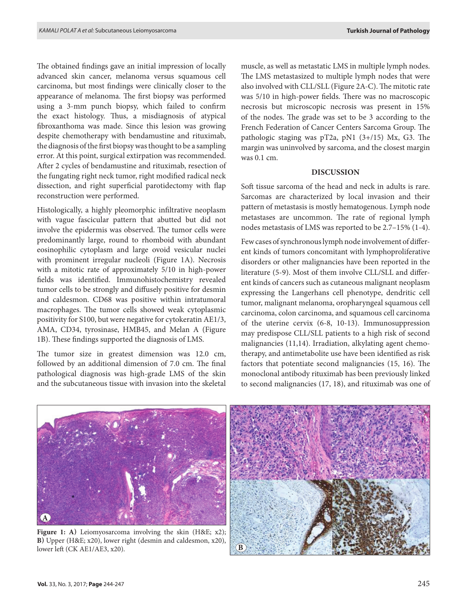The obtained findings gave an initial impression of locally advanced skin cancer, melanoma versus squamous cell carcinoma, but most findings were clinically closer to the appearance of melanoma. The first biopsy was performed using a 3-mm punch biopsy, which failed to confirm the exact histology. Thus, a misdiagnosis of atypical fibroxanthoma was made. Since this lesion was growing despite chemotherapy with bendamustine and rituximab, the diagnosis of the first biopsy was thought to be a sampling error. At this point, surgical extirpation was recommended. After 2 cycles of bendamustine and rituximab, resection of the fungating right neck tumor, right modified radical neck dissection, and right superficial parotidectomy with flap reconstruction were performed.

Histologically, a highly pleomorphic infiltrative neoplasm with vague fascicular pattern that abutted but did not involve the epidermis was observed. The tumor cells were predominantly large, round to rhomboid with abundant eosinophilic cytoplasm and large ovoid vesicular nuclei with prominent irregular nucleoli (Figure 1A). Necrosis with a mitotic rate of approximately 5/10 in high-power fields was identified. Immunohistochemistry revealed tumor cells to be strongly and diffusely positive for desmin and caldesmon. CD68 was positive within intratumoral macrophages. The tumor cells showed weak cytoplasmic positivity for S100, but were negative for cytokeratin AE1/3, AMA, CD34, tyrosinase, HMB45, and Melan A (Figure 1b). These findings supported the diagnosis of LMS.

The tumor size in greatest dimension was 12.0 cm, followed by an additional dimension of 7.0 cm. The final pathological diagnosis was high-grade LMS of the skin and the subcutaneous tissue with invasion into the skeletal

muscle, as well as metastatic LMS in multiple lymph nodes. The LMS metastasized to multiple lymph nodes that were also involved with CLL/SLL (Figure 2A-C). The mitotic rate was 5/10 in high-power fields. There was no macroscopic necrosis but microscopic necrosis was present in 15% of the nodes. The grade was set to be 3 according to the French Federation of Cancer Centers Sarcoma Group. The pathologic staging was pT2a, pN1 (3+/15) Mx, G3. The margin was uninvolved by sarcoma, and the closest margin was 0.1 cm.

## **Discussion**

Soft tissue sarcoma of the head and neck in adults is rare. Sarcomas are characterized by local invasion and their pattern of metastasis is mostly hematogenous. Lymph node metastases are uncommon. The rate of regional lymph nodes metastasis of LMS was reported to be 2.7–15% (1-4).

Few cases of synchronous lymph node involvement of different kinds of tumors concomitant with lymphoproliferative disorders or other malignancies have been reported in the literature (5-9). Most of them involve CLL/SLL and different kinds of cancers such as cutaneous malignant neoplasm expressing the Langerhans cell phenotype, dendritic cell tumor, malignant melanoma, oropharyngeal squamous cell carcinoma, colon carcinoma, and squamous cell carcinoma of the uterine cervix (6-8, 10-13). Immunosuppression may predispose CLL/SLL patients to a high risk of second malignancies (11,14). Irradiation, alkylating agent chemotherapy, and antimetabolite use have been identified as risk factors that potentiate second malignancies (15, 16). The monoclonal antibody rituximab has been previously linked to second malignancies (17, 18), and rituximab was one of



**Figure 1: a)** Leiomyosarcoma involving the skin (H&E; x2); **b)** Upper (H&E; x20), lower right (desmin and caldesmon, x20), lower left (CK AE1/AE3, x20).

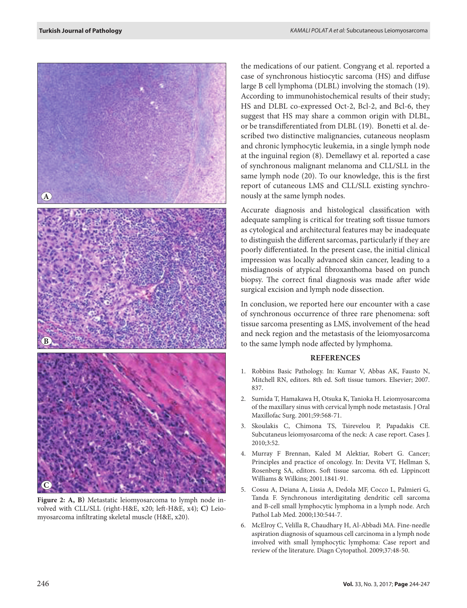

**Figure 2: a, b)** Metastatic leiomyosarcoma to lymph node involved with CLL/SLL (right-H&E, x20; left-H&E, x4); **c)** Leiomyosarcoma infiltrating skeletal muscle (H&E, x20).

the medications of our patient. Congyang et al. reported a case of synchronous histiocytic sarcoma (HS) and diffuse large B cell lymphoma (DLBL) involving the stomach (19). According to immunohistochemical results of their study; HS and DLBL co-expressed Oct-2, Bcl-2, and Bcl-6, they suggest that HS may share a common origin with DLBL, or be transdifferentiated from DLBL (19). Bonetti et al. described two distinctive malignancies, cutaneous neoplasm and chronic lymphocytic leukemia, in a single lymph node at the inguinal region (8). Demellawy et al. reported a case of synchronous malignant melanoma and CLL/SLL in the same lymph node (20). To our knowledge, this is the first report of cutaneous LMS and CLL/SLL existing synchronously at the same lymph nodes.

Accurate diagnosis and histological classification with adequate sampling is critical for treating soft tissue tumors as cytological and architectural features may be inadequate to distinguish the different sarcomas, particularly if they are poorly differentiated. In the present case, the initial clinical impression was locally advanced skin cancer, leading to a misdiagnosis of atypical fibroxanthoma based on punch biopsy. The correct final diagnosis was made after wide surgical excision and lymph node dissection.

In conclusion, we reported here our encounter with a case of synchronous occurrence of three rare phenomena: soft tissue sarcoma presenting as LMS, involvement of the head and neck region and the metastasis of the leiomyosarcoma to the same lymph node affected by lymphoma.

#### **References**

- 1. Robbins Basic Pathology. In: Kumar V, Abbas AK, Fausto N, Mitchell RN, editors. 8th ed. Soft tissue tumors. Elsevier; 2007. 837.
- 2. Sumida T, Hamakawa H, Otsuka K, Tanioka H. Leiomyosarcoma of the maxillary sinus with cervical lymph node metastasis. J Oral Maxillofac Surg. 2001;59:568-71.
- 3. Skoulakis C, Chimona TS, Tsirevelou P, Papadakis CE. Subcutaneus leiomyosarcoma of the neck: A case report. Cases J. 2010;3:52.
- 4. Murray F Brennan, Kaled M Alektiar, Robert G. Cancer; Principles and practice of oncology. In: Devita VT, Hellman S, Rosenberg SA, editors. Soft tissue sarcoma. 6th ed. Lippincott Williams & Wilkins; 2001.1841-91.
- 5. Cossu A, Deiana A, Lissia A, Dedola MF, Cocco L, Palmieri G, Tanda F. Synchronous interdigitating dendritic cell sarcoma and B-cell small lymphocytic lymphoma in a lymph node. Arch Pathol Lab Med. 2000;130:544-7.
- 6. McElroy C, Velilla R, Chaudhary H, Al-Abbadi MA. Fine-needle aspiration diagnosis of squamous cell carcinoma in a lymph node involved with small lymphocytic lymphoma: Case report and review of the literature. Diagn Cytopathol. 2009;37:48-50.